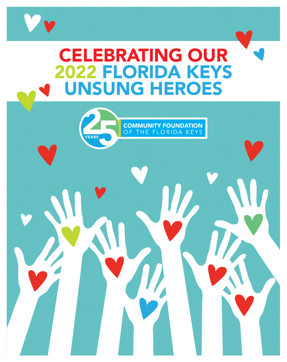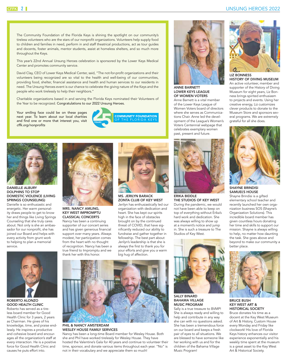The Community Foundation of the Florida Keys is shining the spotlight on our community's tireless volunteers who are the stars of our nonprofit organizations. Volunteers help supply food to children and families in need, perform in and staff theatrical productions, act as tour guides and docents, foster animals, mentor students, assist at homeless shelters, and so much more throughout the Keys.

This year's 22nd Annual Unsung Heroes celebration is sponsored by the Lower Keys Medical Center and promotes community service.

David Clay, CEO of Lower Keys Medical Center, said, "The not-for-profit organizations and their volunteers being recognized are so vital to the health and well-being of our communities, providing food, shelter, financial assistance and health and human services to our residents in need. The Unsung Heroes event is our chance to celebrate the giving nature of the Keys and the people who work tirelessly to help their neighbors."

Charitable organizations based in and serving the Florida Keys nominated their Volunteers of the Year to be recognized. Congratulations to our 2022 Unsung Heroes.

Your smiling face could be on these pages next year. To learn about our local charities and find one or more that interest you, visit *cffk.org/nonprofits*





#### DANIELLE ALBURY DOLPHINS TO STOP DOMESTIC VIOLENCE (LIVING SPRINGS COUNSELING)

Danielle is so enthusiastic and energetic. Her warm personality draws people to get to know her and things like Living Springs Counseling that she truly cares about. Not only is she an ambassador for our nonprofit, she has joined our Board and helps with every activity from grunt work to helping to plan a memorial service.



ROBERTO ALONZO GOOD HEALTH CLINIC Roberto has served as a tireless board member for Good

Health Clinic for 3 years, 2 years as Chairman. He gives of his knowledge, time, and praise endlessly. He inspires a productive and cohesive board and encourages all the organization's staff at every interaction. He is a positive force for Good Health Clinic and causes he puts effort into.



MRS. NANCY AMLING, KEY WEST IMPROMPTU CLASSICAL CONCERTS

Nancy has been a continuing supporter of our concert series and has given generous financial support over many years. Always modest, her participation comes from the heart with no thought of recognition. Nancy has been a true friend to Impromptu and we thank her with this honor.



MS. JERILYN BARACK ZONTA CLUB OF KEY WEST Jerilyn has enthusiastically led our organization with dedication and heart. She has kept our spirits high in the face of obstacles brought on by the continued threat of COVID, that have significantly reduced our ability to fundraise and gather together in fellowship. The best part about Jerilyn's leadership is that she is always the first to thank you for your efforts and give you a warm big hug of affection.



#### PHIL & NANCY AMSTERDAM WESLEY HOUSE FAMILY SERVICES

Nancy has been a long-time Board member for Wesley House. Both she and Phil have worked tirelessly for Wesley House. They have hosted the Valentine's Gala for 40 years and continue to volunteer their time, sponsor, and donate various items throughout each year. "No" is not in their vocabulary and we appreciate them so much!



ANNE BARNETT LOWER KEYS LEAGUE OF WOMEN VOTERS Anne Barnett is a vital member

of the Lower Keys League of Women Voters board of directors where she serves as Communications Chair. Anne led the development of the League's Women's Voters Centennial webpage that celebrates exemplary women past, present and future.



ERIKA BIDDLE THE STUDIOS OF KEY WEST During the pandemic, we would not have been able to keep on top of everything without Erika's hard work and dedication. She was always willing to show up at a moment's notice and jump in. She is such a treasure to The Studios of Key West.



SALLY BINARD BAHAMA VILLAGE MUSIC PROGRAM

Sally is a true treasure to BVMP! She is always ready and willing to help and contribute in any way she can with no questions asked. She has been a tremendous force on our board and keeps a fresh pair of eyes to all situations. We are blessed to have someone like her working with us and for the children of the Bahama Village Music Program!



LIZ BONNESS HISTORY OF DIVING MUSEUM An active volunteer, member and supporter of the History of Diving Museum for eight years, Liz Bonness brings spirited enthusiasm to projects and events. Using her creative energy, Liz customizes clever products to donate to the Museum Store and sponsors several programs. We are extremely grateful for all she does.



SHAYNE BRINDISI SAMUEL'S HOUSE

Shayne Brindisi is a gifted elementary school teacher and recently launched her own organization business SOS (Shayne's Organization Solutions). This incredible board member has given countless hours donating her time and skills to support our mission. Shayne is always willing to help, no matter how daunting the task. She goes above and beyond to make our community a better place.



BRUCE BUSH KEY WEST ART & HISTORICAL SOCIETY

Bruce donates his time as a docent at the Key West Museum of Art & History, Custom House every Monday and Friday like clockwork! His love of Florida Keys history enhances our visitor experience exponentially and his weekly time spent at the museum is a great asset to the Key West Art & Historical Society.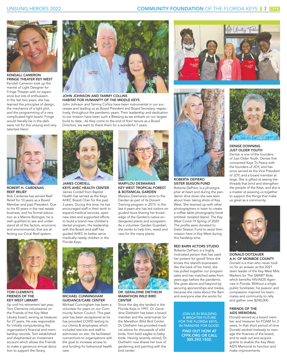

KENDALL CAMERON FRINGE THEATER KEY WEST Kendall Cameron took up the mantel of Light Designer for Fringe Theater with no experience but lots of enthusiasm. In the last two years, she has learned the principles of design, the mechanics of a light plot, and the programming of a very complicated light board. Fringe would literally be in the dark were not for this unsung and very talented Hero!



ROBERT H. CARDENAS REEF RELIEF

Bob Cardenas has served Reef Relief for 10 years as a Board Member and past President. Due to his 43 years in the real estate business, and his formal education as a Marine Biologist, he is well qualified to see and understand all of the factors, economic and environmental, that are affecting our Coral Reef system.



TOM CLEMENTS FRIENDS OF THE KEY WEST LIBRARY

Up until his retirement last year, Tom Clements volunteered on the Friends of the Key West Library board, serving as treasurer for 27 years. He was responsible for initially computerizing the organization's financial and membership records. Tom established and shepherded an investment account which allows the Friends to make a generous annual donation to support the library.



HABITAT FOR HUMANITY OF THE MIDDLE KEYS

John Johnson and Tammy Collins have been instrumental in our successes and leading us as Board President and Board Secretary, respectively, throughout the pandemic years. Their leadership and dedication to our mission have been such a Blessing as we embark on our largest build to date. As they come to the end of their tenure as a Board Directors, we want to thank them for a wonderful 7 years.



#### JAMES CORDELL KEYS AHEC HEALTH CENTER James Cordell from Baptist

Health has served as the Keys AHEC Board Chair for the past 3 years. During this time, he has encouraged staff in their work to expand medical services, open new sites and supported efforts to build a brand new children's dental program. His leadership with the Board and staff has guided AHEC to better serve medically needy children in the Florida Keys.



#### MICHAEL CUNNINGHAM GUIDANCE/CARE CENTER

Michael Cunningham has been a volunteer for years on our Community Action Council. This past year has been exceptional as he has provided COVID testing to our clients & employees which included test kits and staff to administer on site. He facilitated connections to organizations with the goal to increase access to and funding for behavioral health care.



#### MARYLOU DESMARAIS KEY WEST TROPICAL FOREST & BOTANICAL GARDEN

Marylou Desmarais came to the Garden as part of its Docent Training program in 2015. In the last 6 years she has led visitors on guided tours sharing her knowledge of the Garden's native endangered plants and ecosystem. As a volunteer Garden Guardian, she works to help trim, weed and care for the many plants.



DR. GERALDINE DIETHELM MARATHON WILD BIRD **CENTER** 

Since the day she landed in the Florida Keys in 1997, Dr. Geraldine Diethelm has been a board member and the veterinarian for the Marathon Wild Bird Center. Dr. Diethelm has provided medical advice for thousands of wild birds, from bald eagles to baby birds. Having recently retired, Dr. Diethelm now shares her love of gardening and painting with the bird center.



#### ROBERTA DEPIERO SISTER SEASON FUND

Roberta DePiero is a photographer at heart and during the pandemic shut down she was seen about town taking shots of Key West. She teamed up with other photographers in town to create a coffee table photography book entitled: *Isolated Island: The Key West Covid-19 Spring of 2020.* The profits were donated to Sister Season Fund to assist their mission here in Key West during this hardship time.

#### RED BARN ACTORS STUDIO

Roberta DePiero is a highly motivated person that has used her powers for good! Since she knows this island's businesses like the back of her hand, she has pulled together our program sales and has matched sales from years ago before the pandemic. She goes above and beyond by securing sponsorships and trades, because she cares about the Barn and everyone else she works for.

#### JOIN US IN BUILDING A BRIGHTER FUTURE FOR THE FLORIDA KEYS… IN PARADISE FOR GOOD.

FIND OUT HOW AT CFFK.ORG OR CALL 305.292.1502.



#### DENISE DOWNING JUST OLDER YOUTH

Muty Table

Denise is one of the founders of Just Older Youth. Denise first connected Keys To Peace with the founders of JOY, and has since served as the Vice President of JOY, and a board member at large. She is gifted at seeing the threads that bind and strengthen the people of the Keys, and she is a master at weaving us together to support the things that make us great as a community.



#### DONALD DOTZAUER A.H. OF MONROE COUNTY

Donald is a man who never took no for an answer as the 2021 team leader of the Key West Mile Markers for The SMART Ride, which benefits HIV/AIDS Agencies in Florida. Without a single public fundraiser, his passion and compassion inspired his teammates and community to rally and gather over \$240,000.

#### FRIENDS OF THE AIDS MEMORIAL

Donald served as a board member and treasurer for FOAM for 3 years. In that short period of time Donald worked tirelessly to manage the finances of the board, and to seek out and acquire grants to enable the Key West AIDS Memorial to function and make improvements.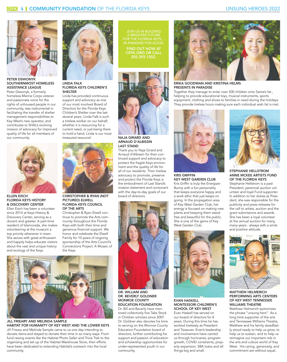

PETER DSWONYK SOUTHERNMOST HOMELESS ASSISTANCE LEAGUE

Peter Dswonyk, a formerly homeless Marine Corps veteran and passionate voice for the rights of unhoused people in our community, was instrumental in facilitating the transfer of shelter management responsibilities to Key West's new operator, and contributes to SHAL's evolving mission of advocacy for improved quality of life for all members of our community.



ELLEN EISCH FLORIDA KEYS HISTORY & DISCOVERY CENTER

Ellen Eisch has been a volunteer since 2014 at Keys History & Discovery Center, serving as a docent and greeter. A part-time resident of Islamorada, she makes volunteering at the museum a top priority whenever in town. She serves with great enthusiasm and happily helps educate visitors about the vast and unique history and ecology of the Keys.



#### LINDA FALK FLORIDA KEYS CHILDREN'S SHELTER

Linda has provided continuous support and advocacy as one of our most involved Board of Directors for the Florida Keys Children's Shelter over the last several years. Linda Falk is such a tireless worker on our behalf, whether it is resourcing for a current need, or just being there to hold a hand, Linda is our most treasured resource!



CHRISTOPHER & RYAN (NOT PICTURED) ELWELL FLORIDA KEYS COUNCIL OF THE ARTS

Christopher & Ryan Elwell continue to promote the Arts community throughout the Florida Keys with both their time and generous financial support. We honor and celebrate the Elwell Family for 10 years of ongoing sponsorship of the Arts Council's Connections Project: A Mosaic of the Keys.



JILL FRIEARY AND MELINDA SAMPLE HABITAT FOR HUMANITY OF KEY WEST AND THE LOWER KEYS

Jill Frieary and Melinda Sample came to us one day intending to donate items and stayed to donate their time in so many ways. From fund raising events like the Habitat Photo Safari and Trivia Trek to the organizing and set up of the Habitat Warehouse Store, their efforts have been dedicated to extending Habitat's outreach into the local community.

JOIN US IN BUILDING FOR THE FLORIDA KEYS. IN PARADISE FOR GOOD. FIND OUT HOW AT CFFK.ORG OR CALL 305.292.1502.



NAJA GIRARD AND ARNAUD D'ALBISSIN LAST STAND

Thank you to Naja Girard and Arnaud d'Albissin for their continued support and advocacy to protect the fragile Keys environment and the quality of life for all of our residents. Their tireless advocacy to promote, preserve and protect the Florida Keys is the embodiment of Last Stand's mission statement and consonant with the day-to-day goals of our board of directors.



#### DR. WILLIAM AND DR. BEVERLY GOLDNER MONROE COUNTY EDUCATION FOUNDATION

Dr. Bill and Beverly have mentored collectively five Take Stock in Children scholars since 2007. Dr. Goldner also devotes his time to serving on the Monroe County Education Foundation board of directors, further contributing his support and passion of education and scholarship opportunities for under-represented youth in our community.



ERIKA GOODMAN AND KRISTINA HELMS PRESENTS IN PARADISE

Together they manage to enter over 500 children onto Santa's list., helping to provide educational toys, musical instruments, sports equipment, clothing and shoes to families in need during the holidays. They provide tireless hours making sure each individual wish list is met.



KRIS GRIFFIN KEY WEST GARDEN CLUB Kris Griffin is truly the Energizer Bunny with a fun personality that keeps everyone happy and a work ethic that just keeps on going. In the propagation area of Key West Garden Club, her energy is focused on making new plants and keeping them weed free and beautiful for the public. She is one of the gems of Key West Garden Club.



#### EVAN HASKELL MONTESSORI CHILDREN'S SCHOOL OF KEY WEST

Evan Haskell has served on our board of directors for 8 years. During this time he has worked tirelessly as President and Treasurer. Evan's leadership and involvement have carried us through hurricanes, program growth, COVID constraints, property expansion, SBA loans and all things big and small.



STEPHANIE HELLSTROM ANNE MCKEE ARTISTS FUND OF THE FLORIDA KEYS Stephanie Hellstrom is a past President, perennial auction volunteer and loyal Fund supporter. In addition to her duties as President, she was responsible for the publicity and press releases for the call to artists, auction and the grant submissions and awards. She has been a loyal volunteer at the annual auction for many, many years - always with a smile

and positive attitude.



#### MATTHEW HELMERICH PERFORMING ARTS CENTERS OF KEY WEST TENNESSEE WILLIAMS THEATRE

Matthew Helmerich epitomizes the phrase "unsung hero". As a long time supporter of the arts and Tennessee Williams Theatre, Matthew and his family steadfastly stood ready to help us grow, to help us to sustain, and to help us reimagine our important role in the arts and culture world of Key West. His caring, generosity, and commitment are without equal.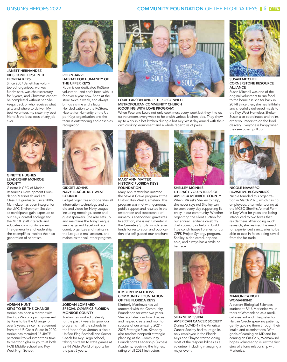

JANETT HERNANDEZ KIDS COME FIRST IN THE **FLORIDA KEYS** 

Since 2007 Janett has volunteered, organized, worked fundraisers, was chair secretary for 3 years, and Christmas cannot be completed without her. She keeps track of who receives what gifts and where to deliver. My best volunteer, my sister, my best friend & the best boss of any job ever.



GINETTE HUGHES LEADERSHIP MONROE **COUNTY** 

Ginette is CEO of Marine Resources Development Foundation/MarineLab and LMC Class XIII graduate. Since 2006, MarineLab has been integral for the LMC Environment Session as participants gain exposure to our Keys' coastal ecology and the MRDF staff interacts and educates community leaders. The generosity and leadership she exemplifies inspires the next generation of scientists.



#### ROBIN JARVIE HABITAT FOR HUMANITY OF THE UPPER KEYS

Robin is our dedicated ReStore volunteer - and she's been with us for over a year now. She's at the store twice a week, and always brings a smile and a laugh. Her dedication to the ReStore, Habitat for Humanity of the Upper Keys organization and the team is outstanding and deserves recognition.



GIDGET JOHNS NAVY LEAGUE KEY WEST **COUNCIL** 

Gidget organizes and operates all information technology and audio and video for Navy League, including meetings, zoom and guest speakers. She also sets up and maintains the Navy League web page and Facebook account, organizes and maintains the League e-mail account, and maintains the volunteer program.



LOUIE LARSON AND PETER O'CONNELL METROPOLITAN COMMUNITY CHURCH (COOKING WITH LOVE PROGRAM)

When Pete and Louie not only cook most every week but they find extra volunteers every week to help with various kitchen jobs. They show up to work in a hot kitchen during a hot Key West day armed with their own cooking equipment and a whole repertoire of jokes!



MARY ANN MATTER HISTORIC FLORIDA KEYS FOUNDATION

Mary Ann Matter has initiated the Save A Grave program at the Historic Key West Cemetery. This program was met with generous public support and resulted in the restoration and stewardship of numerous abandoned gravesites. In addition, she is instrumental in the Cemetery Strolls, which raise funds for restoration and publication of a self-guided tour brochure.



#### SHELLEY MCINNIS LITERACY VOLUNTEERS OF AMERICA MONROE COUNTY When LVA asks Shelley to help, she never says no! Shelley can be seen every day supporting literacy in our community. Whether organizing the silent auction for our annual Benihana celebrity chef cook-off, or helping build little conch house libraries for our CFFK Project Synergy program, Shelley is dedicated, dependable, and always has a smile on her face.



SHAYNE MESSINA AMERICAN CANCER SOCIETY During COVID-19 the American Cancer Society had to let go its only employee in the Florida Keys and Shayne started doing most of the responsibilities as a volunteer including managing a major event.



SUSAN MITCHELL CORNERSTONE RESOURCE ALLIANCE

Susan Mitchell was one of the original volunteers to run food to the homeless shelter back in 2014! Since then, she has faithfully and cheerfully delivered meals to the Key West Homeless Shelter. Susan also coordinates and trains other volunteers to do the food delivery. Everyone is happy when they see Susan pull up!



NICOLE NAVARRO PAWSITIVE BEGINNINGS

Nicole founded this organization in March 2020, which has no employees, after volunteering at the MCSO Sheriff's Animal Farm in Key West for years and being introduced to two foxes that reside there. After doing much research, she realized the need for experienced sanctuaries to be able to take in foxes being saved from the fur trade.



MARIONICA NOEL WOMANKIND

A current Biological Sciences student at FAU, Marionica volunteers at Womankind as a medical assistant and interpreter for Haitian Creole speaking patients, gently guiding them through their intake and examinations. With goals of earning an MD and becoming an OB-GYN, Womankind hopes volunteering is just the first step of a long relationship with Marionica.



ADRIAN HUNT KEYS TO BE THE CHANGE

Adrian has been a mentor with the Kids Win program sponsored by Keys to Be the Change for over 5 years. Since his retirement from the US Coast Guard in 2020, Adrian has recruited 18 JIATF personnel to volunteer their time to mentor high-risk youth at both HOB Middle School and Key West High School.



#### JORDAN LOMBARD SPECIAL OLYMPICS FLORIDA MONROE COUNTY

Jordan has worked tirelessly for the past 7 years to grow our programs in all the schools in the Upper Keys. Jordan is also a Unified Flag Football and Soccer Coach for Key Largo School, taking his team to state games at ESPN Wide World of Sports for the past 5 years.



#### KIMBERLY MATTHEWS COMMUNITY FOUNDATION OF THE FLORIDA KEYS

Kimberly Matthews has volunteered with the Community Foundation for over two years. She facilitated our board retreat and helped create and monitor success of our amazing 2021- 2025 Strategic Plan. Kimberly also teaches nonprofit strategic planning at the Community Foundation's Leadership Success Academy, receiving the highest rating of all 2021 instructors.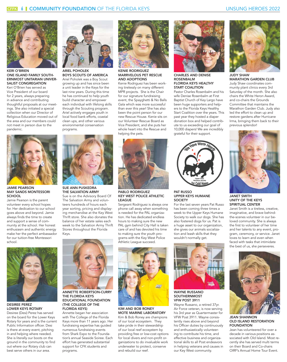

KERI O'BRIEN ONE ISLAND FAMILY SOUTH-ERNMOST UNITARIAN UNIVER-SALIST CONGREGATION

Keri O'Brien has served as Vice President of our board for 2 years, always preparing in advance and contributing thoughtful proposals at our meetings. She also initiated a special collection when our Director of Religious Education moved out of the area and our members could not meet in person due to the pandemic.



JAMIE PEARSON MAY SANDS MONTESSORI **SCHOOL** 

Jamie Pearson is the parent volunteer every school hopes for. Her dedication to our school goes above and beyond. Jamie always finds the time to create and support a sense of community at the school. Her honest enthusiasm and authentic energy make her the perfect ambassador for our tuition-free Montessori school.



#### ARIEL POHOLEK BOYS SCOUTS OF AMERICA Ariel Poholek was a Boy Scout

growing up and has since been a unit leader in the Keys for the last nine years. During this time he has continued to help youth build character and empower each individual with lifelong skills through the Scouting program. Ariel actively engages youth in local food bank efforts, coastal clean ups, and other various environmental conservation programs.



SUE ANN PUSKEDRA THE SALVATION ARMY

Sue is on the Advisory Board Of The Salvation Army and volunteers hundreds of hours each year sorting, pricing and displaying merchandise at the Key West Thrift store. She also donates the balance of her estate sales each week to the Salvation Army Thrift Stores throughout the Florida Keys.



#### KENIE RODRIGUEZ MARRVELOUS PET RESCUE AND ADOPTIONS

Kenie Rodriguez has been working tirelessly on many different MPR projects. She is the Chair for our signature fundraising event, the Spayghetti & No Balls Gala which was more successful than ever this year! She has also been the point person for our new Rescue House. Kenie sits on our Volunteer Rescue Board as Vice President, and she puts her whole heart into the Rescue and helping the pets.



PABLO RODRIGUEZ KEY WEST POLICE ATHLETIC LEAGUE

Sergeant Rodriguez is always one phone call away when something is needed for the PAL organization. He has dedicated endless hours to making sure the new PAL gym behind City Hall is taken care of and has devoted his time to making sure the youth programs with the Key West Police Athletic League succeed.



KIM AND BOB RONEY MOTE MARINE LABORATORY Kim & Bob Roney are champions of our local ecosystem. They take pride in their stewardship of our local reef ecosystem by providing free or low-cost options for local divers and non-profit organizations to do invaluable work underwater to protect, conserve and rebuild our reef.



#### CHARLES AND DENISE ROSENBALM FLORIDA KEYS HEALTHY START COALITION

Pastor Charles Rosenbalm and his wife Denise Rosenbalm at First Baptist Church of Key Largo have been huge supporters and helpers to the Florida Keys Healthy Start Coalition over the years. This past year they hosted a diaper donation box and helped contribute to us exceeding our goal of 10,000 diapers! We are incredibly grateful for their support.



#### PAT RUSSO UPPER KEYS HUMANE **SOCIETY**

For the last seven years Pat Russo has been coming three times a week to the Upper Keys Humane Society to walk our dogs. She has also fostered dogs for us. Pat is a huge asset to our organization, she gives our animals socialization and leash skills that they wouldn't normally get.



WAYNE RUSSANO SOUTHERNMOST VFW POST 3911

Wayne Russano, a retired 37yr. Air Force veteran, is now serving his 3rd year as Quartermaster for VFW Post 3911. Wayne consistently rises above and beyond his Officer duties by continuously and enthusiastically volunteering to contribute his time, and effective business and organizational skills to all Post endeavors in helping veterans and causes in our Key West community.



JUDY SHAW MARATHON GARDEN CLUB Judy Shaw coordinates community plant clinics every 3rd Saturday of the month. She also chairs the White Heron Award, and co-chairs the Grounds Committee that maintains the Marathon Garden Club. Judy also led the effort to clean up and restore gardens after Hurricane Irma, bringing them back to their previous splendor!



#### JANET SMITH UNITY OF THE KEYS SPIRITUAL CENTER

Janet Smith is a tireless, creative, imaginative, and brave behindthe-scenes volunteer in our beloved community. She is always the first to volunteer of her time and her talents to any event, program, ceremony, or service. Janet loves to learn and even when faced with tasks that intimidate the best of us, she perseveres.



JEAN SHANNON OLD ISLAND RESTORATION **FOUNDATION** 

Jean has volunteered for over a decade in various positions associated with Old Island. Most recently she has served multi terms on their Board and Co-chairs OIRF's Annual Home Tour Event.



DESIREE PEREZ LOWER KEYS ROTARY

Desiree (Desi) Perez has served on the board for the Lower Keys Rotary for years and is the current Public Information officer. Desi is there at every event, pitching in and helping where needed. She is literally our boots on the ground in the community to find out where our Rotary club can best serve others in our area.



#### THE FLORIDA KEYS EDUCATIONAL FOUNDATION (THE COLLEGE OF THE FLORIDA KEYS)

Annette began her association with The College of the Florida Keys more than 11 years ago. Her fundraising expertise has guided numerous fundraising events from Shark Expo to the Foundation's annual Seaside Soiree. Each effort has generated substantial support for CFK students and programs.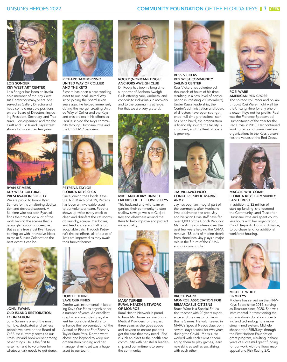

LOIS SONGER KEY WEST ART CENTER

Lois Songer has been an invaluable member of the Key West Art Center for many years. She served as Gallery Director and has also held multiple positions on the Board of Directors, including President, Secretary, and Treasurer. Lois organized and ran the Craft and Old Island Days street shows for more than ten years.



RYAN STIMERS KEY WEST CULTURAL PRESERVATION SOCIETY

We are proud to honor Ryan Stimers for his unfaltering dedication and devoted support. A full-time wire sculptor, Ryan still finds the time to do a lot of the work behind the scenes that is rarely glamorous nor creative. But as any true artist Ryan keeps coming up with innovative ideas to make Sunset Celebration the best event it can be.

JOHN SWANN

FOUNDATION

OLD ISLAND RESTORATION

John Swann is one of the most humble, dedicated and selfless people we have on the Board of OIRF. He currently serves as our Treasurer and bookkeeper among other things. He is the first to raise his hand to volunteer for whatever task needs to get done.



RICHARD TAMBORRINO UNITED WAY OF COLLIER AND THE KEYS

Richard has been a hard-working asset to our local United Way since joining the board seven years ago. He helped immensely during the merger creating United Way of Collier and the Keys, and was tireless in his efforts as UWCK served the Keys community through Hurricane Irma and the COVID-19 pandemic.



PETRENA TAYLOR FLORIDA KEYS SPCA

Since joining the Florida Keys SPCA in March of 2019, Petrena has been an invaluable asset to our volunteer team. Petrena shows up twice every week to clean and disinfect the cat rooms, do laundry, scrape litter boxes, and feed and care for all of our adoptable cats. Through Petrena's tireless efforts, all of our cats' lives are improved as they await



Dorthe was instrumental in keeping Save Our Pines organized for a number of years. An excellent graphic and web designer, she lent her considerable skills to enhance the representation of the Australian Pines at Fort Zachary Taylor State Park. Dorthe went above and beyond to keep our organization running and her managerial mindset was a huge asset to our team.



ROCKY (NORMAN) TINGLE ANCHORS AWEIGH CLUB

Dr. Rocky has been a long time supporter of Anchors Aweigh Club offering care, kindness, and concern to individuals in recovery and to the community at large. For that we are very grateful.



MIKE AND JERRY TINNELL FRIENDS OF THE LOWER KEYS This husband and wife team organizes their community to stop shallow sewage wells at Cudjoe Key and elsewhere around the Keys to help improve and protect water quality.



#### MARY TURNER RURAL HEALTH NETWORK OF MONROE

Rural Health Network is proud to have Ms. Turner as one of our Medical Providers for the past three years as she goes above and beyond to ensure patients get the care that they need. She is such an asset to the health care community with her stellar leadership and commitment to serve the community.



RUSS VICKERS KEY WEST COMMUNITY SAILING CENTER

Russ Vickers has volunteered thousands of hours of his time, resulting in a new level of participation (surpassing 200 members). Under Russ's leadership, the Center's administration and board of directors have been strengthened, full-time professional staff has been hired, the organization is financially sound, the facility is improved, and the fleet of boats is growing.



JAY VILLAVICENCIO CONCH REPUBLIC MARINE ARMY

Jay has been an integral part of the community after Hurricane Irma decimated the area. Jay and his Winn Dixie staff have fed over 1,000 of the Conch Republic Marine Army volunteers over the past few years helping the CRMA remove 188 tons of marine debris from shorelines. Jay plays a major role in the future of the CRMA and our community.



BRUCE WARD MONROE ASSOCIATION FOR REMARCABLE CITIZENS

Bruce Ward is a Special Education teacher with 20 years experience and the creator of Grow Brains Games. He volunteered in MARC's Special Needs classroom several days a week for two years during the Covid-19 crisis. He worked with each client encouraging them to play games, learn new skills as well as socializing with each other.



#### ROSI WARE AMERICAN RED CROSS

The spirited volunteer and philanthropist Rosi Ware might well be the Unsung Hero for any one of a dozen Keys not-for-profits. Rosi was the Florence Spottswood Humanitarian of the Year for the Red Cross in 2013. Her continued work for arts and human welfare organizations in the Keys personifies the values of the Red Cross.



MAGGIE WHITCOMB FLORIDA KEYS COMMUNITY LAND TRUST

In addition to \$2 million of start-up funding, she founded the Community Land Trust after Hurricane Irma and spent countless hours with her organization, Conch Republic Housing Alliance, to purchase land for additional workforce housing.



MICHELE WHITE FIRMKEYS

Michele has served on the FIRM-Keys Board since 2014, serving as Treasurer since 2020. She was instrumental in transitioning the organization's donation collecting and technology to a more streamlined system. Michele shepherded FIRMKeys through the First Horizon Foundation grant program, resulting in three years of successful grant funding for our work with the flood map appeal and Risk Rating 2.0.



DORTHE THURE SAVE OUR PINES